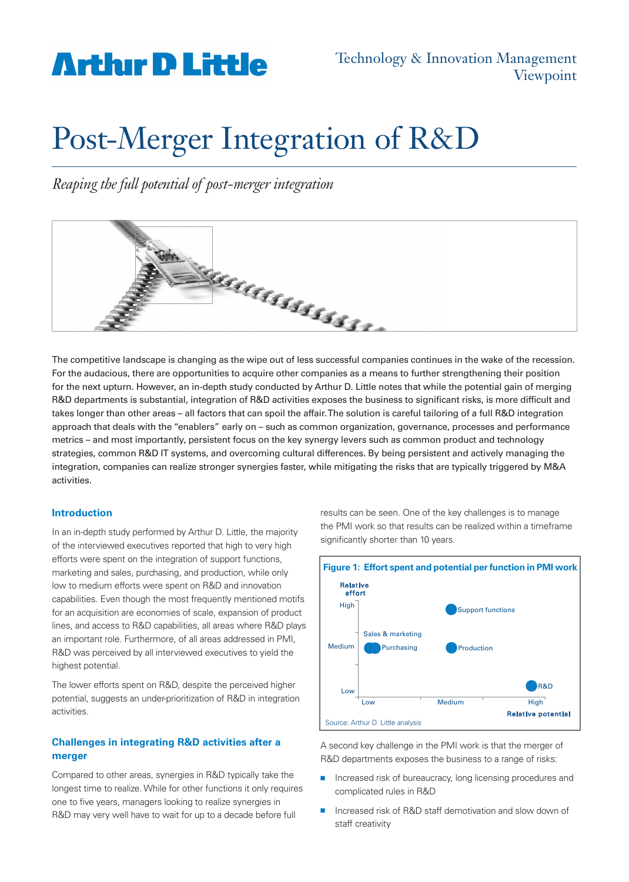## **Arthir D Little**

# Post-Merger Integration of R&D

*Reaping the full potential of post-merger integration*



The competitive landscape is changing as the wipe out of less successful companies continues in the wake of the recession. For the audacious, there are opportunities to acquire other companies as a means to further strengthening their position for the next upturn. However, an in-depth study conducted by Arthur D. Little notes that while the potential gain of merging R&D departments is substantial, integration of R&D activities exposes the business to significant risks, is more difficult and takes longer than other areas – all factors that can spoil the affair. The solution is careful tailoring of a full R&D integration approach that deals with the "enablers" early on – such as common organization, governance, processes and performance metrics – and most importantly, persistent focus on the key synergy levers such as common product and technology strategies, common R&D IT systems, and overcoming cultural differences. By being persistent and actively managing the integration, companies can realize stronger synergies faster, while mitigating the risks that are typically triggered by M&A activities.

### **Introduction**

In an in-depth study performed by Arthur D. Little, the majority of the interviewed executives reported that high to very high efforts were spent on the integration of support functions, marketing and sales, purchasing, and production, while only low to medium efforts were spent on R&D and innovation capabilities. Even though the most frequently mentioned motifs for an acquisition are economies of scale, expansion of product lines, and access to R&D capabilities, all areas where R&D plays an important role. Furthermore, of all areas addressed in PMI, R&D was perceived by all interviewed executives to yield the highest potential.

The lower efforts spent on R&D, despite the perceived higher potential, suggests an under-prioritization of R&D in integration activities.

## **Challenges in integrating R&D activities after a merger**

Compared to other areas, synergies in R&D typically take the longest time to realize. While for other functions it only requires one to five years, managers looking to realize synergies in R&D may very well have to wait for up to a decade before full

results can be seen. One of the key challenges is to manage the PMI work so that results can be realized within a timeframe significantly shorter than 10 years.



A second key challenge in the PMI work is that the merger of R&D departments exposes the business to a range of risks:

- n Increased risk of bureaucracy, long licensing procedures and complicated rules in R&D
- Increased risk of R&D staff demotivation and slow down of staff creativity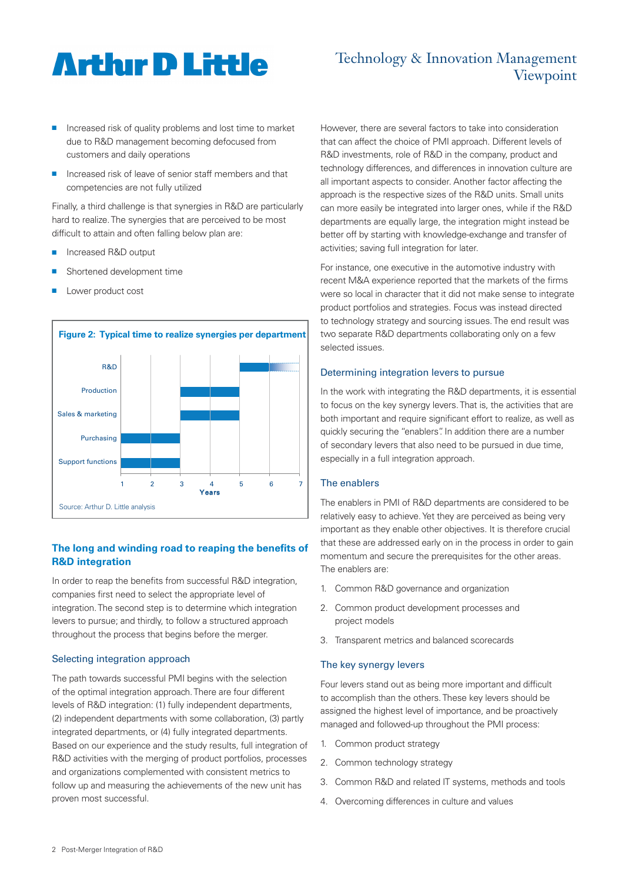# **Artlur D Little**

## Technology & Innovation Management Viewpoint

- Increased risk of quality problems and lost time to market due to R&D management becoming defocused from customers and daily operations
- Increased risk of leave of senior staff members and that competencies are not fully utilized

Finally, a third challenge is that synergies in R&D are particularly hard to realize. The synergies that are perceived to be most difficult to attain and often falling below plan are:

- <sup>n</sup> Increased R&D output
- Shortened development time
- Lower product cost



## **The long and winding road to reaping the benefits of R&D integration**

In order to reap the benefits from successful R&D integration, companies first need to select the appropriate level of integration. The second step is to determine which integration levers to pursue; and thirdly, to follow a structured approach throughout the process that begins before the merger.

### Selecting integration approach

The path towards successful PMI begins with the selection of the optimal integration approach. There are four different levels of R&D integration: (1) fully independent departments, (2) independent departments with some collaboration, (3) partly integrated departments, or (4) fully integrated departments. Based on our experience and the study results, full integration of R&D activities with the merging of product portfolios, processes and organizations complemented with consistent metrics to follow up and measuring the achievements of the new unit has proven most successful.

However, there are several factors to take into consideration that can affect the choice of PMI approach. Different levels of R&D investments, role of R&D in the company, product and technology differences, and differences in innovation culture are all important aspects to consider. Another factor affecting the approach is the respective sizes of the R&D units. Small units can more easily be integrated into larger ones, while if the R&D departments are equally large, the integration might instead be better off by starting with knowledge-exchange and transfer of activities; saving full integration for later.

For instance, one executive in the automotive industry with recent M&A experience reported that the markets of the firms were so local in character that it did not make sense to integrate product portfolios and strategies. Focus was instead directed to technology strategy and sourcing issues. The end result was two separate R&D departments collaborating only on a few selected issues.

#### Determining integration levers to pursue

In the work with integrating the R&D departments, it is essential to focus on the key synergy levers. That is, the activities that are both important and require significant effort to realize, as well as quickly securing the "enablers". In addition there are a number of secondary levers that also need to be pursued in due time, especially in a full integration approach.

### The enablers

The enablers in PMI of R&D departments are considered to be relatively easy to achieve. Yet they are perceived as being very important as they enable other objectives. It is therefore crucial that these are addressed early on in the process in order to gain momentum and secure the prerequisites for the other areas. The enablers are:

- 1. Common R&D governance and organization
- 2. Common product development processes and project models
- 3. Transparent metrics and balanced scorecards

#### The key synergy levers

Four levers stand out as being more important and difficult to accomplish than the others. These key levers should be assigned the highest level of importance, and be proactively managed and followed-up throughout the PMI process:

- 1. Common product strategy
- 2. Common technology strategy
- 3. Common R&D and related IT systems, methods and tools
- 4. Overcoming differences in culture and values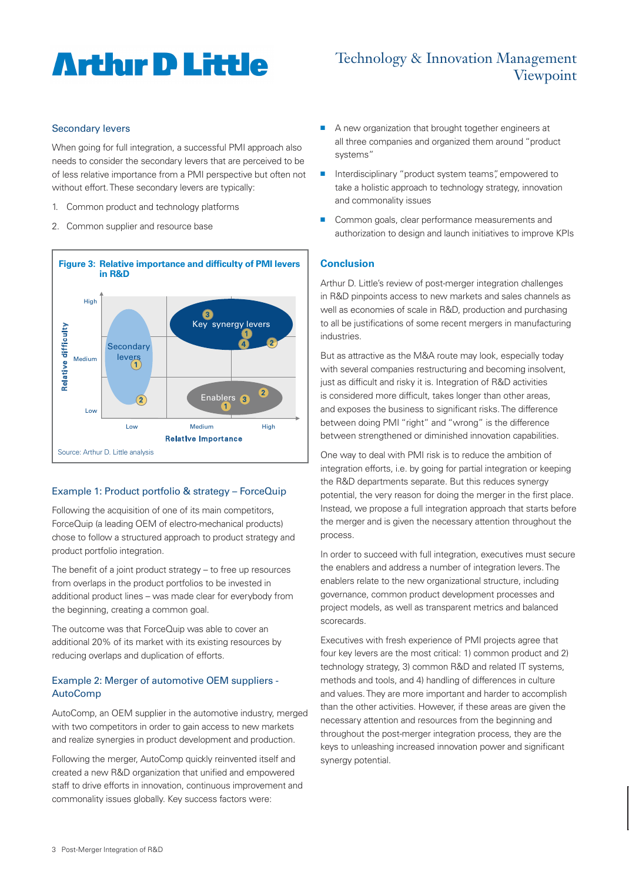# **Artlur D Little**

## Technology & Innovation Management Viewpoint

#### Secondary levers

When going for full integration, a successful PMI approach also needs to consider the secondary levers that are perceived to be of less relative importance from a PMI perspective but often not without effort. These secondary levers are typically:

- 1. Common product and technology platforms
- 2. Common supplier and resource base



### Example 1: Product portfolio & strategy – ForceQuip

Following the acquisition of one of its main competitors, ForceQuip (a leading OEM of electro-mechanical products) chose to follow a structured approach to product strategy and product portfolio integration.

The benefit of a joint product strategy – to free up resources from overlaps in the product portfolios to be invested in additional product lines – was made clear for everybody from the beginning, creating a common goal.

The outcome was that ForceQuip was able to cover an additional 20% of its market with its existing resources by reducing overlaps and duplication of efforts.

## Example 2: Merger of automotive OEM suppliers - AutoComp

AutoComp, an OEM supplier in the automotive industry, merged with two competitors in order to gain access to new markets and realize synergies in product development and production.

Following the merger, AutoComp quickly reinvented itself and created a new R&D organization that unified and empowered staff to drive efforts in innovation, continuous improvement and commonality issues globally. Key success factors were:

- A new organization that brought together engineers at all three companies and organized them around "product systems"
- Interdisciplinary "product system teams", empowered to take a holistic approach to technology strategy, innovation and commonality issues
- Common goals, clear performance measurements and authorization to design and launch initiatives to improve KPIs

## **Conclusion**

Arthur D. Little's review of post-merger integration challenges in R&D pinpoints access to new markets and sales channels as well as economies of scale in R&D, production and purchasing to all be justifications of some recent mergers in manufacturing industries.

But as attractive as the M&A route may look, especially today with several companies restructuring and becoming insolvent, just as difficult and risky it is. Integration of R&D activities is considered more difficult, takes longer than other areas, and exposes the business to significant risks. The difference between doing PMI "right" and "wrong" is the difference between strengthened or diminished innovation capabilities.

One way to deal with PMI risk is to reduce the ambition of integration efforts, i.e. by going for partial integration or keeping the R&D departments separate. But this reduces synergy potential, the very reason for doing the merger in the first place. Instead, we propose a full integration approach that starts before the merger and is given the necessary attention throughout the process.

In order to succeed with full integration, executives must secure the enablers and address a number of integration levers. The enablers relate to the new organizational structure, including governance, common product development processes and project models, as well as transparent metrics and balanced scorecards.

Executives with fresh experience of PMI projects agree that four key levers are the most critical: 1) common product and 2) technology strategy, 3) common R&D and related IT systems, methods and tools, and 4) handling of differences in culture and values. They are more important and harder to accomplish than the other activities. However, if these areas are given the necessary attention and resources from the beginning and throughout the post-merger integration process, they are the keys to unleashing increased innovation power and significant synergy potential.